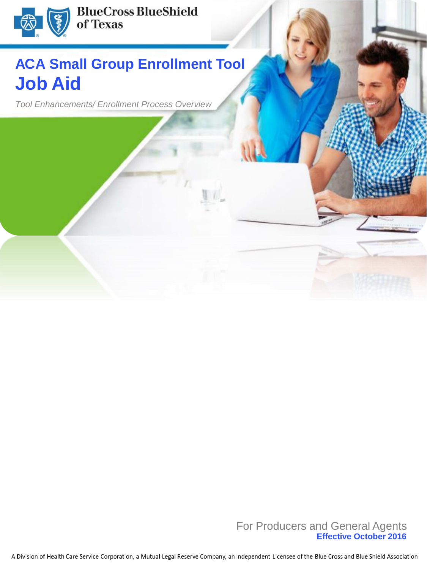

## **ACA Small Group Enrollment Tool Job Aid**

*Tool Enhancements/ Enrollment Process Overview*

**1 Effective October 2016** For Producers and General Agents

A Division of Health Care Service Corporation, a Mutual Legal Reserve Company, an Independent Licensee of the Blue Cross and Blue Shield Association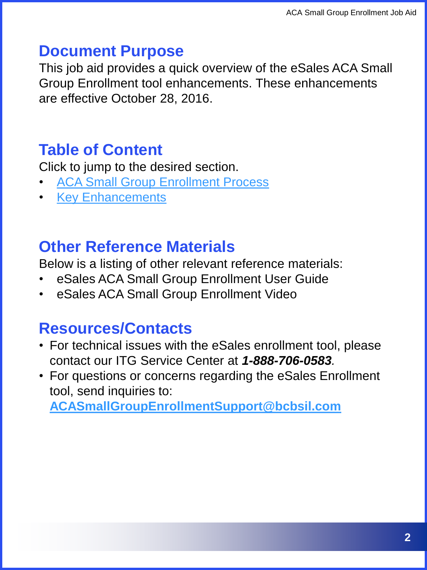### **Document Purpose**

This job aid provides a quick overview of the eSales ACA Small Group Enrollment tool enhancements. These enhancements are effective October 28, 2016.

### **Table of Content**

Click to jump to the desired section.

- **[ACA Small Group Enrollment Process](#page-5-0)**
- [Key Enhancements](#page-4-0)

### **Other Reference Materials**

Below is a listing of other relevant reference materials:

- eSales ACA Small Group Enrollment User Guide
- eSales ACA Small Group Enrollment Video

### **Resources/Contacts**

- For technical issues with the eSales enrollment tool, please contact our ITG Service Center at *1-888-706-0583.*
- For questions or concerns regarding the eSales Enrollment tool, send inquiries to:

**[ACASmallGroupEnrollmentSupport@bcbsil.com](mailto:ACASmallGroupEnrollmentSupport@bcbsil.com)**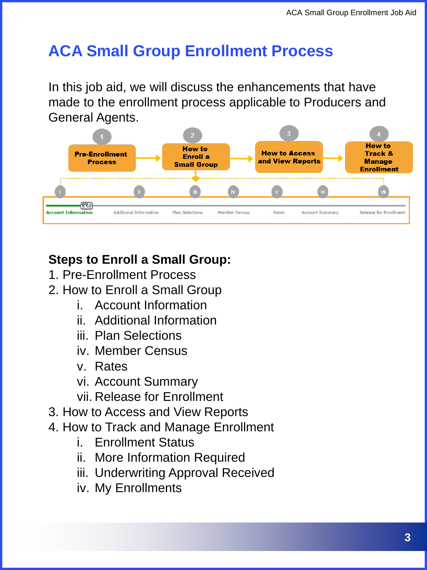### **ACA Small Group Enrollment Process**

In this job aid, we will discuss the enhancements that have made to the enrollment process applicable to Producers and General Agents.



### **Steps to Enroll a Small Group:**

- 1. Pre-Enrollment Process
- 2. How to Enroll a Small Group
	- i. Account Information
	- ii. Additional Information
	- iii. Plan Selections
	- iv. Member Census
	- v. Rates
	- vi. Account Summary
	- vii. Release for Enrollment
- 3. How to Access and View Reports
- 4. How to Track and Manage Enrollment
	- i. Enrollment Status
	- ii. More Information Required
	- iii. Underwriting Approval Received
	- iv. My Enrollments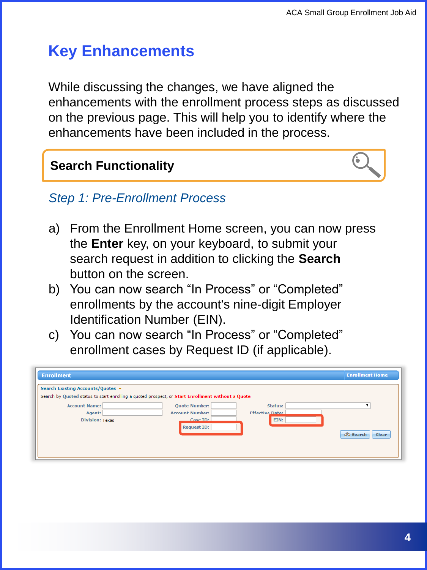### **Key Enhancements**

While discussing the changes, we have aligned the enhancements with the enrollment process steps as discussed on the previous page. This will help you to identify where the enhancements have been included in the process.

#### **Search Functionality**



#### *Step 1: Pre-Enrollment Process*

- a) From the Enrollment Home screen, you can now press the **Enter** key, on your keyboard, to submit your search request in addition to clicking the **Search**  button on the screen.
- b) You can now search "In Process" or "Completed" enrollments by the account's nine-digit Employer Identification Number (EIN).
- c) You can now search "In Process" or "Completed" enrollment cases by Request ID (if applicable).

| <b>Enrollment</b>                 | <b>Enrollment Home</b>                                                                            |
|-----------------------------------|---------------------------------------------------------------------------------------------------|
| Search Existing Accounts/Quotes v | Search by Quoted status to start enrolling a quoted prospect, or Start Enrollment without a Quote |
| <b>Account Name:</b>              | <b>Quote Number:</b><br>Status:                                                                   |
| Agent:                            | <b>Effective Date:</b><br><b>Account Number:</b>                                                  |
| <b>Division: Texas</b>            | Case ID:<br>EIN:                                                                                  |
|                                   | <b>Request ID:</b><br><b>Co</b> Search<br><b>Clear</b>                                            |
|                                   |                                                                                                   |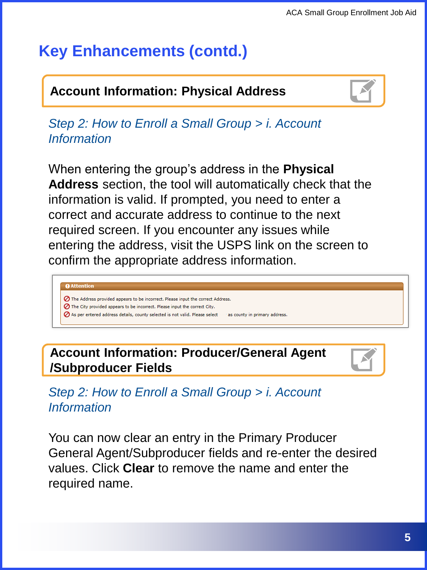### **Account Information: Physical Address**



*Step 2: How to Enroll a Small Group > i. Account Information*

When entering the group's address in the **Physical Address** section, the tool will automatically check that the information is valid. If prompted, you need to enter a correct and accurate address to continue to the next required screen. If you encounter any issues while entering the address, visit the USPS link on the screen to confirm the appropriate address information.

#### **Q** Attention

- ◯ The Address provided appears to be incorrect. Please input the correct Address.
- ⊘ The City provided appears to be incorrect. Please input the correct City.
- ⊘ As per entered address details, county selected is not valid. Please select as county in primary address.

**Account Information: Producer/General Agent /Subproducer Fields**

*Step 2: How to Enroll a Small Group > i. Account Information*

<span id="page-4-0"></span>You can now clear an entry in the Primary Producer General Agent/Subproducer fields and re-enter the desired values. Click **Clear** to remove the name and enter the required name.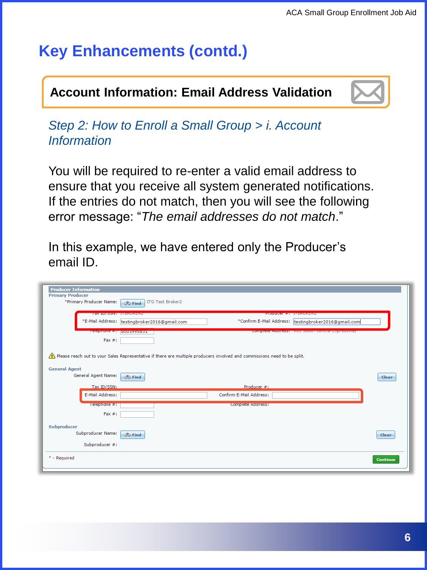### **Account Information: Email Address Validation**



*Step 2: How to Enroll a Small Group > i. Account Information*

You will be required to re-enter a valid email address to ensure that you receive all system generated notifications. If the entries do not match, then you will see the following error message: "*The email addresses do not match*."

In this example, we have entered only the Producer's email ID.

<span id="page-5-0"></span>

| <b>Producer Information</b> |                                                                                                                             |                 |
|-----------------------------|-----------------------------------------------------------------------------------------------------------------------------|-----------------|
| <b>Primary Producer</b>     |                                                                                                                             |                 |
| *Primary Producer Name:     | <b>ITG Test Broker2</b><br><b>O</b> Find                                                                                    |                 |
|                             |                                                                                                                             |                 |
|                             | <b>10X ID/ SSIN: IT DRUNERZ</b><br><b>PIOGUCCI #: IIDKUNEKZ</b>                                                             |                 |
|                             | *E-Mail Address: testingbroker2016@gmail.com<br>*Confirm E-Mail Address:  testingbroker2016@gmail.com                       |                 |
|                             | Telestrate + Bunaaaaaaa<br><u>complete autress, i soli south central Expressway</u>                                         |                 |
| $Fax \#$ :                  |                                                                                                                             |                 |
|                             |                                                                                                                             |                 |
|                             |                                                                                                                             |                 |
|                             | .) Please reach out to your Sales Representative if there are multiple producers involved and commissions need to be split. |                 |
| <b>General Agent</b>        |                                                                                                                             |                 |
| General Agent Name:         |                                                                                                                             |                 |
|                             | <b>OC</b> Find                                                                                                              | Clear           |
| Tax ID/SSN:                 | Producer #:                                                                                                                 |                 |
| E-Mail Address:             | Confirm E-Mail Address:                                                                                                     |                 |
|                             |                                                                                                                             |                 |
| Telephone #:                | Complete Address:                                                                                                           |                 |
| Fax $#$ :                   |                                                                                                                             |                 |
|                             |                                                                                                                             |                 |
| Subproducer                 |                                                                                                                             |                 |
| Subproducer Name:           | <b>O</b> Find                                                                                                               | Clear           |
| Subproducer #:              |                                                                                                                             |                 |
|                             |                                                                                                                             |                 |
| * - Required                |                                                                                                                             | <b>Continue</b> |
|                             |                                                                                                                             |                 |
|                             |                                                                                                                             |                 |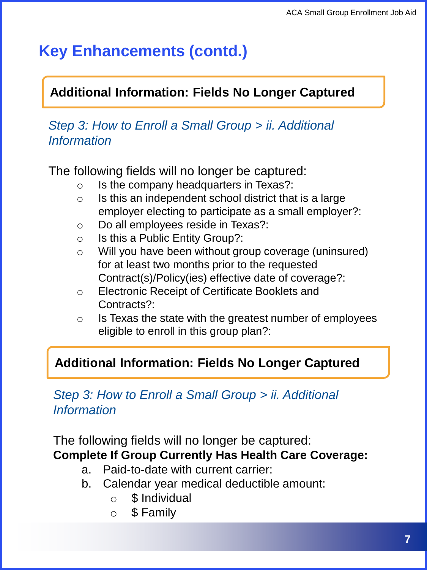### **Additional Information: Fields No Longer Captured**

#### *Step 3: How to Enroll a Small Group > ii. Additional Information*

The following fields will no longer be captured:

- o Is the company headquarters in Texas?:
- $\circ$  Is this an independent school district that is a large employer electing to participate as a small employer?:
- o Do all employees reside in Texas?:
- $\circ$  Is this a Public Entity Group?:
- o Will you have been without group coverage (uninsured) for at least two months prior to the requested Contract(s)/Policy(ies) effective date of coverage?:
- o Electronic Receipt of Certificate Booklets and Contracts?:
- $\circ$  Is Texas the state with the greatest number of employees eligible to enroll in this group plan?:

#### **Additional Information: Fields No Longer Captured**

#### *Step 3: How to Enroll a Small Group > ii. Additional Information*

The following fields will no longer be captured: **Complete If Group Currently Has Health Care Coverage:** 

- a. Paid-to-date with current carrier:
- b. Calendar year medical deductible amount:
	- o \$ Individual
	- o \$ Family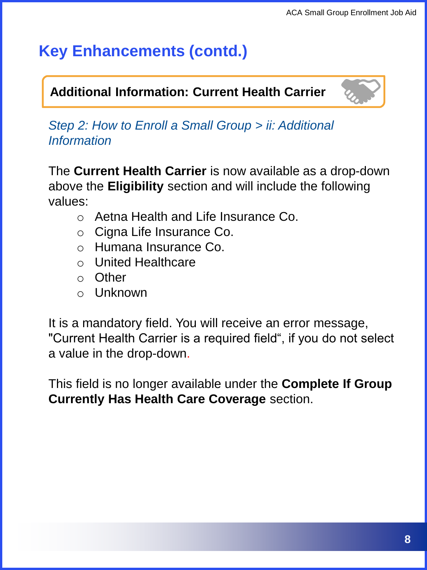#### **Additional Information: Current Health Carrier** "More Information Needed."

*Step 2: How to Enroll a Small Group > ii: Additional Information*

The **Current Health Carrier** is now available as a drop-down above the **Eligibility** section and will include the following values:

- o Aetna Health and Life Insurance Co.
- o Cigna Life Insurance Co.
- o Humana Insurance Co.
- o United Healthcare
- o Other
- o Unknown

It is a mandatory field. You will receive an error message, "Current Health Carrier is a required field", if you do not select a value in the drop-down.

This field is no longer available under the **Complete If Group Currently Has Health Care Coverage** section.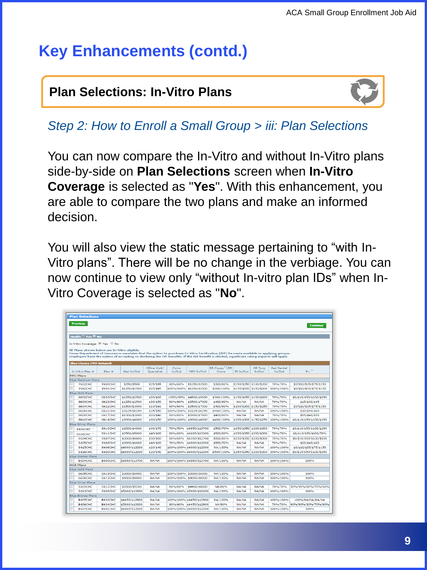### **Plan Selections: In-Vitro Plans**



*Step 2: How to Enroll a Small Group > iii: Plan Selections*

You can now compare the In-Vitro and without In-Vitro plans side-by-side on **Plan Selections** screen when **In-Vitro Coverage** is selected as "**Yes**". With this enhancement, you are able to compare the two plans and make an informed decision.

You will also view the static message pertaining to "with In-Vitro plans". There will be no change in the verbiage. You can now continue to view only "without In-vitro plan IDs" when In-Vitro Coverage is selected as "**No**".

| <b>Plan Selections</b>                                                                                                                      |                |                                               |                |           |                          |                            |                         |                         |                   |                           |
|---------------------------------------------------------------------------------------------------------------------------------------------|----------------|-----------------------------------------------|----------------|-----------|--------------------------|----------------------------|-------------------------|-------------------------|-------------------|---------------------------|
| <b>Previous</b>                                                                                                                             |                |                                               |                |           |                          |                            |                         |                         |                   |                           |
|                                                                                                                                             |                |                                               |                |           |                          |                            |                         |                         |                   | <b>Continue</b>           |
|                                                                                                                                             |                |                                               |                |           |                          |                            |                         |                         |                   |                           |
| Health <sup>O</sup> Yes <sup>®</sup> No                                                                                                     |                |                                               |                |           |                          |                            |                         |                         |                   |                           |
|                                                                                                                                             |                |                                               |                |           |                          |                            |                         |                         |                   |                           |
| In-Vitro Coverage: ® Yes ® No                                                                                                               |                |                                               |                |           |                          |                            |                         |                         |                   |                           |
| All Plans shown below are In-Vitro eligible.                                                                                                |                |                                               |                |           |                          |                            |                         |                         |                   |                           |
| Texas Department of Insurance mandates that the option to purchase In-Vitro Fertilization (IVF) be made available to applying groups.       |                |                                               |                |           |                          |                            |                         |                         |                   |                           |
| Employers have the option of accepting or declining the IVF benefits. If the IVF benefit is elected, significant rating impacts will apply. |                |                                               |                |           |                          |                            |                         |                         |                   |                           |
| <b>Blue Choice PPO Network</b>                                                                                                              |                |                                               |                |           |                          |                            |                         |                         |                   |                           |
|                                                                                                                                             |                |                                               | Office Visit/  | Coins     |                          | ER Copay <sup>*3</sup> /ER |                         | OP Surg                 | <b>Ped Dental</b> |                           |
| <b>Tn-Vitro Plan #</b>                                                                                                                      | Plan #         | Ded In/Out                                    | Specialist     | In/Out    | OPX In/Out               | Coins                      | IP In/Out               | In/Out                  | In/Out            | $Rx$ <sup>**</sup>        |
| <b>PPO Plans</b>                                                                                                                            |                |                                               |                |           |                          |                            |                         |                         |                   |                           |
| <b>Blue Platinum Plans</b>                                                                                                                  |                |                                               |                |           |                          |                            |                         |                         |                   |                           |
| P602CHC                                                                                                                                     | <b>P600CHC</b> | \$250/\$500                                   | \$25/\$45      | 80%/60%   | \$1250/\$2500            | \$300/80%                  | \$150/\$250 \$100/\$200 |                         | 70%/70%           | \$0/\$10/\$35/\$75/\$150  |
| o<br>P610CHC                                                                                                                                | <b>P601CHC</b> | \$1250/\$2500                                 | \$25/\$45      |           | 100%/100% \$1250/\$2500  | \$300/100%                 |                         | \$150/\$250 \$100/\$200 | 100%/100%         | \$0/\$10/\$35/\$75/\$150  |
| <b>Blue Gold Plans</b>                                                                                                                      |                |                                               |                |           |                          |                            |                         |                         |                   |                           |
| G602CHC                                                                                                                                     | G620CHC        | \$1250/\$2500                                 | \$20/\$60      | 100%/80%  | \$4500/\$9000            | \$300/100%                 | \$150/\$250 \$100/\$200 |                         | 70%/70%           | \$0/\$10/\$50/\$100/\$150 |
| G603CHC                                                                                                                                     | <b>G623CHC</b> | <b>≮1250/≮2500</b>                            | <b>430/450</b> | 80%/60%   | €3500/€7000              | <b>\$400/80%</b>           | NA/NA                   | NA/NA                   | 70%/70%           | <b>415/430/445</b>        |
| $\Box$<br>G604CHC                                                                                                                           | G622CHC        | \$1500/\$3000                                 | \$10/\$60      | 80%/60%   | \$3500/\$7000            | \$400/80%                  |                         | \$200/\$300 \$150/\$250 | 70%/70%           | \$0/\$10/\$35/\$75/\$150  |
| ō<br>GEOGCHC                                                                                                                                | G621CHC        | \$3125/\$6250                                 | \$25/\$50      | 100%/100% | \$3125/\$6250            | \$400/100%                 | NA/NA                   | NA/NA                   | 100%/100%         | \$10/\$40/\$60            |
| G609CHC                                                                                                                                     | <b>G617CHC</b> | \$1000/\$2000                                 | \$20/\$40      | 80%/60%   | \$3900/\$7800            | \$400/80%                  | NA/NA                   | NA/NA                   | 70%/70%           | \$15/\$40/\$55            |
| ō<br>G610CHC                                                                                                                                | G616CHC        | \$3000/\$6000                                 | <b>430/450</b> |           | 100%/100% \$3000/\$6000  | \$400/100%                 |                         | \$200/\$300 \$150/\$250 | 100%/100%         | \$0/\$10/\$50/\$100/\$150 |
| <b>Blue Silver Plans</b>                                                                                                                    |                |                                               |                |           |                          |                            |                         |                         |                   |                           |
| S601CHC <sup>11</sup>                                                                                                                       | <b>S610CHC</b> | \$2000/\$4000                                 | \$40/\$70      | 70%/50%   | \$6850/\$13700           | \$500/70%                  | \$250/\$350 \$200/\$300 |                         | 70%/70%           | \$0/\$10/\$50/\$100/\$150 |
| <b>S602CHC<sup>*1</sup></b>                                                                                                                 | <b>S611CHC</b> | \$2500/\$5000                                 | \$40/\$60      | 80%/60%   | \$6600/\$13200           | \$500/80%                  |                         | \$250/\$350 \$200/\$300 | 70%/70%           | \$0/\$10/\$50/\$100/70%   |
| <b>S604CHC</b>                                                                                                                              | <b>S607CHC</b> | \$3000/\$6000                                 | \$30/\$50      | 80%/60%   | \$6350/\$12700           | \$500/80%                  |                         | \$250/\$350 \$200/\$300 | 70%/70%           | \$0/\$10/\$50/\$100/\$150 |
| ō<br><b>S605CHC</b>                                                                                                                         | S608CHC        | \$3000/\$6000                                 | \$40/\$60      | 70%/50%   | \$6000/\$12000           | \$500/70%                  | NA/NA                   | NA/NA                   | 70%/70%           | \$20/\$40/\$60            |
| S615CHC                                                                                                                                     | SSOSCHC        | \$6000/\$12000                                | \$20/\$40      |           | 100%/100% \$6000/\$12000 | NA/100%                    | NA/NA                   | NA/NA                   | 100%/100%         | \$0/\$10/\$35/\$75/\$150  |
| ⊟<br><b>S616CHC</b>                                                                                                                         | S600CHC        | \$6000/\$12000                                | \$20/\$40      |           | 100%/100% \$6000/\$12000 | \$500/100%                 |                         | \$250/\$350 \$200/\$300 | 100%/100%         | \$0/\$10/\$50/\$100/\$150 |
| <b>Blue Bronze Plans</b>                                                                                                                    |                |                                               |                |           |                          |                            |                         |                         |                   |                           |
| B604CHC                                                                                                                                     | <b>B600CHC</b> | \$6850/\$13700                                | NA/NA          |           | 100%/100% \$6850/\$13700 | NA/100%                    | NA/NA                   | NA/NA                   | 100%/100%         | 100%                      |
| <b>HSA Plans</b>                                                                                                                            |                |                                               |                |           |                          |                            |                         |                         |                   |                           |
| <b>Blue Gold Plans</b>                                                                                                                      |                |                                               |                |           |                          |                            |                         |                         |                   |                           |
| <b>G605CHC</b>                                                                                                                              | <b>G619CHC</b> | \$3000/\$6000                                 | NA/NA          | 100%/100% | \$3000/\$6000            | NA/100%                    | NA/NA                   | NA/NA                   | 100%/100%         | 100%                      |
| <b>G608CHC</b>                                                                                                                              | <b>G613CHC</b> | <b><i><u><i><u>AODD/</u></i></u></i></b> 8000 | NA/NA          | 100%/100% | <b>\$4000/\$8000</b>     | NA/100%                    | NA/NA                   | NA/NA                   | 100%/100%         | 100%                      |
| <b>Blue Silver Plans</b>                                                                                                                    |                |                                               |                |           |                          |                            |                         |                         |                   |                           |
| <b>S603CHC</b>                                                                                                                              | <b>S612CHC</b> | \$2600/\$5200                                 | NA/NA          | 80%/60%   | \$4400/\$8800            | NA/80%                     | NA/NA                   | NA/NA                   | 70%/70%           | 90%/90%/80%/70%/60%       |
| S613CHC                                                                                                                                     | S609CHC        | \$5000/\$10000                                | NA/NA          |           | 100%/100% \$5000/\$10000 | NA/100%                    | NA/NA                   | NA/NA                   | 100%/100%         | 100%                      |
| <b>Blue Bronze Plans</b>                                                                                                                    |                |                                               |                |           |                          |                            |                         |                         |                   |                           |
| <b>B60SCHC</b>                                                                                                                              | <b>B633CHC</b> | \$6450/\$12900                                | NA/NA          |           | 100%/100% \$6450/\$12900 | NA/100%                    | NA/NA                   | NA/NA                   | 100%/100%         | 100%/NA/NA/NA/NA          |
| <b>B606CHC</b>                                                                                                                              | <b>B634CHC</b> | \$5000/\$10000                                | NA/NA          | 80%/60%   | \$6450/\$12900           | NA/80%                     | NA/NA                   | NA/NA                   | 70%/70%           | 90%/90%/80%/70%/60%       |
| B607CHC                                                                                                                                     | <b>B601CHC</b> | \$6000/\$12000                                | NA/NA          |           | 100%/100% \$6000/\$12000 | NA/100%                    | NA/NA                   | NA/NA                   | 100%/100%         | 100%                      |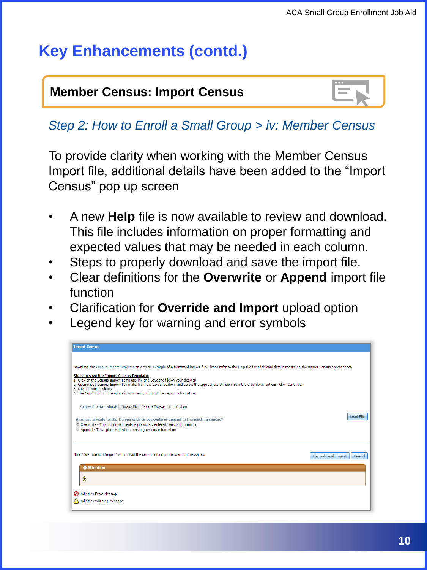#### **Member Census: Import Census**  $\boxed{=}$ "More Information Needed."

| 0.0.0 |  |
|-------|--|
|       |  |

### *Step 2: How to Enroll a Small Group > iv: Member Census*

To provide clarity when working with the Member Census Import file, additional details have been added to the "Import Census" pop up screen

- A new **Help** file is now available to review and download. This file includes information on proper formatting and expected values that may be needed in each column.
- Steps to properly download and save the import file.
- Clear definitions for the **Overwrite** or **Append** import file function
- Clarification for **Override and Import** upload option
- Legend key for warning and error symbols

| <b>Import Census</b>                                                                                                                                                                                                                                                                                                                                                                                                                                                                                                                                                         |
|------------------------------------------------------------------------------------------------------------------------------------------------------------------------------------------------------------------------------------------------------------------------------------------------------------------------------------------------------------------------------------------------------------------------------------------------------------------------------------------------------------------------------------------------------------------------------|
| Download the Census Import Template or view an example of a formatted import file. Please refer to the Help file for additional details regarding the Import Census spreadsheet.<br>Steps to save the Import Census Template:<br>1. Click on the Census Import Template link and Save the file on your desktop.<br>2. Open saved Census Import Template, from the saved location, and select the appropriate Division from the drop down options. Click Continue.<br>3. Save to your desktop.<br>4. The Census Import Template is now ready to input the census information. |
| Select File to upload: Choose File Census Impor-11-18.xlsm<br><b>Load File</b><br>A census already exists. Do you wish to overwrite or append to the existing census?<br>. Overwrite - This option will replace previously entered census information.<br>C Append - This option will add to existing census information                                                                                                                                                                                                                                                     |
| Note: "Override and Import" will upload the census ignoring the warning messages.<br><b>Override and Import</b><br>Cancel<br><b>@</b> Attention                                                                                                                                                                                                                                                                                                                                                                                                                              |
| Â                                                                                                                                                                                                                                                                                                                                                                                                                                                                                                                                                                            |
| ndicates Error Message<br>A indicates Warning Message                                                                                                                                                                                                                                                                                                                                                                                                                                                                                                                        |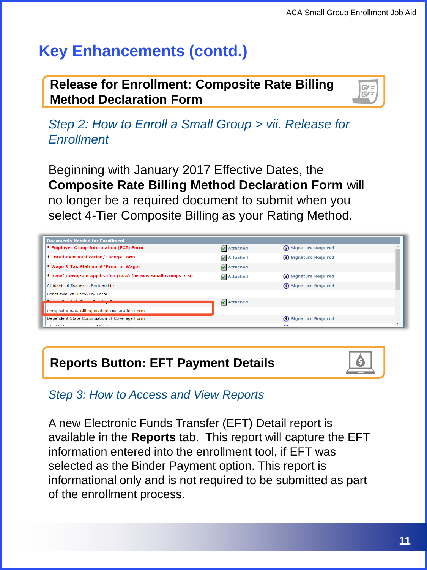### **Release for Enrollment: Composite Rate Billing Method Declaration Form**



*Step 2: How to Enroll a Small Group > vii. Release for Enrollment*

Beginning with January 2017 Effective Dates, the **Composite Rate Billing Method Declaration Form** will no longer be a required document to submit when you select 4-Tier Composite Billing as your Rating Method.

| <b>Documents Needed for Enrollment</b>                        |          |                        |  |
|---------------------------------------------------------------|----------|------------------------|--|
| * Employer Group Information (EGI) Form                       | Attached | (i) Signature Required |  |
| * Enrollment Application/Change Form                          | Attached | (i) Signature Required |  |
| * Wage & Tax Statement/Proof of Wages                         | Attached |                        |  |
| * Benefit Program Application (BPA) for New Small Groups 2-50 | Attached | (i) Signature Required |  |
| Affidavit of Domestic Partnership                             |          | (i) Signature Required |  |
| BenefitWallet Discovery Form                                  |          |                        |  |
|                                                               | Attached |                        |  |
| Composite Rate Billing Method Declaration Form                |          |                        |  |
| Dependent State Continuation of Coverage Form                 |          | (i) Signature Required |  |
|                                                               |          |                        |  |



*Step 3: How to Access and View Reports*

A new Electronic Funds Transfer (EFT) Detail report is available in the **Reports** tab. This report will capture the EFT information entered into the enrollment tool, if EFT was selected as the Binder Payment option. This report is informational only and is not required to be submitted as part of the enrollment process.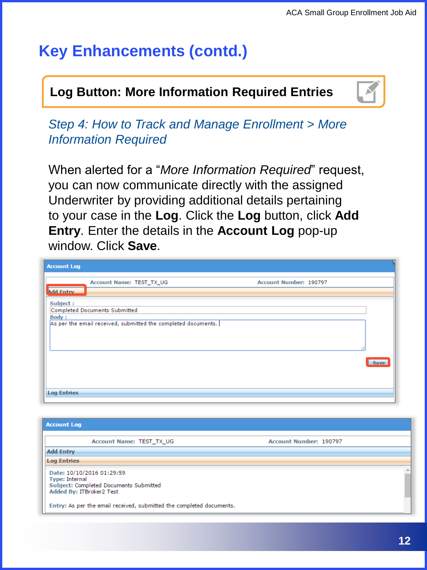#### $\Box$  on Rutton: More Information Required Entries "More Information Needed." **Log Button: More Information Required Entries**



*Step 4: How to Track and Manage Enrollment > More Information Required*

When alerted for a "*More Information Required*" request, you can now communicate directly with the assigned Underwriter by providing additional details pertaining to your case in the **Log**. Click the **Log** button, click **Add Entry**. Enter the details in the **Account Log** pop-up window. Click **Save**.

| <b>Account Log</b>                        |                                                               |                        |      |
|-------------------------------------------|---------------------------------------------------------------|------------------------|------|
|                                           | Account Name: TEST_TX_UG                                      | Account Number: 190797 |      |
| <b>Add Entry</b>                          |                                                               |                        |      |
| Subject:<br>Completed Documents Submitted |                                                               |                        |      |
| <b>Body:</b>                              | As per the email received, submitted the completed documents. |                        |      |
|                                           |                                                               |                        |      |
|                                           |                                                               |                        |      |
|                                           |                                                               |                        | Save |
|                                           |                                                               |                        |      |
| <b>Log Entries</b>                        |                                                               |                        |      |

| <b>Account Log</b>                                                                                                       |                        |
|--------------------------------------------------------------------------------------------------------------------------|------------------------|
| <b>Account Name: TEST TX UG</b>                                                                                          | Account Number: 190797 |
| <b>Add Entry</b>                                                                                                         |                        |
| <b>Log Entries</b>                                                                                                       |                        |
| Date: 10/10/2016 01:29:59<br><b>Type: Internal</b><br>Subject: Completed Documents Submitted<br>Added By: ITBroker2 Test |                        |
| Entry: As per the email received, submitted the completed documents.                                                     |                        |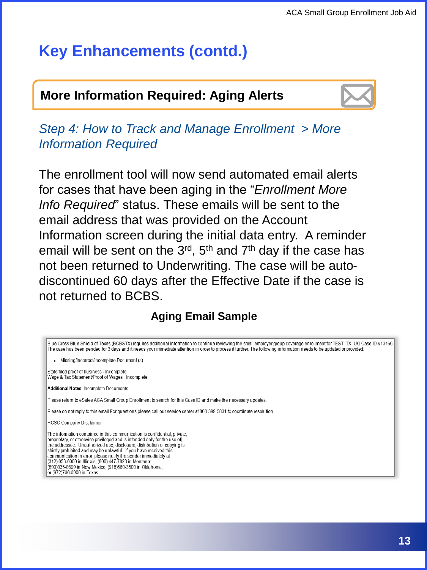### **More Information Required: Aging Alerts**



*Step 4: How to Track and Manage Enrollment > More Information Required*

The enrollment tool will now send automated email alerts for cases that have been aging in the "*Enrollment More Info Required*" status. These emails will be sent to the email address that was provided on the Account Information screen during the initial data entry. A reminder email will be sent on the  $3<sup>rd</sup>$ ,  $5<sup>th</sup>$  and  $7<sup>th</sup>$  day if the case has not been returned to Underwriting. The case will be autodiscontinued 60 days after the Effective Date if the case is not returned to BCBS.

#### **Aging Email Sample**

Blue Cross Blue Shield of Texas (BCBSTX) requires additional information to continue reviewing the small employer group coverage enrollment for TEST\_TX\_UG Case ID #13466. The case has been pended for 3 days and it needs your immediate attention in order to process it further. The following information needs to be updated or provided: · Missing/Incorrect/Incomplete Document (s) State filed proof of business - Incomplete Wage & Tax Statement/Proof of Wages - Incomplete Additional Notes: Incomplete Documents Please return to eSales ACA Small Group Enrollment to search for this Case ID and make the necessary updates Please do not reply to this email. For questions please call our service center at 800-399-5831 to coordinate resolution. **HCSC Company Disclaimer** The information contained in this communication is confidential, private. proprietary, or otherwise privileged and is intended only for the use of the addressee. Unauthorized use, disclosure, distribution or copying is strictly prohibited and may be unlawful. If you have received this communication in error, please notify the sender immediately at (312) 653-6000 in Illinois; (800) 447-7828 in Montana (800)835-8699 in New Mexico; (918)560-3500 in Oklahoma; or (972)766-6900 in Texas